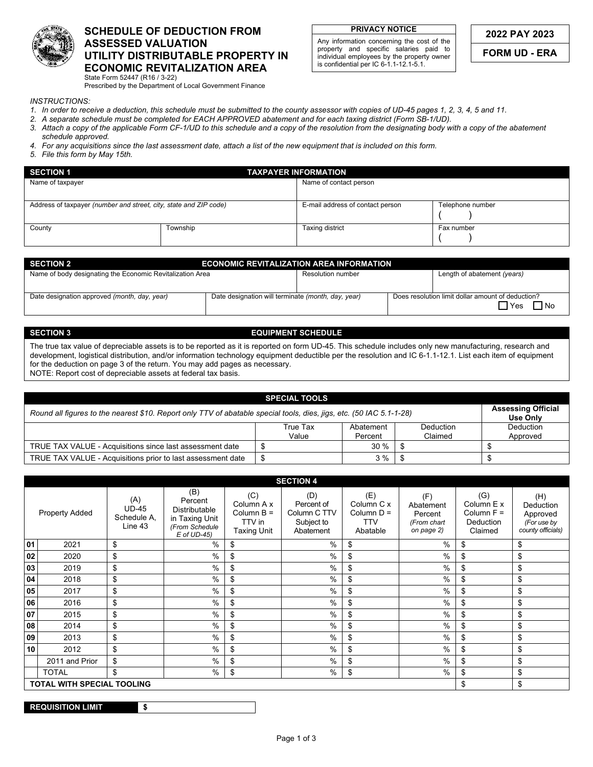

## **SCHEDULE OF DEDUCTION FROM ASSESSED VALUATION UTILITY DISTRIBUTABLE PROPERTY IN ECONOMIC REVITALIZATION AREA**  State Form 52447 (R16 / 3-22)

Any information concerning the cost of the property and specific salaries paid to individual employees by the property owner is confidential per IC 6-1.1-12.1-5.1.

**FORM UD - ERA** 

Prescribed by the Department of Local Government Finance

*INSTRUCTIONS:* 

- *1. In order to receive a deduction, this schedule must be submitted to the county assessor with copies of UD-45 pages 1, 2, 3, 4, 5 and 11.*
- *2. A separate schedule must be completed for EACH APPROVED abatement and for each taxing district (Form SB-1/UD).*
- *3. Attach a copy of the applicable Form CF-1/UD to this schedule and a copy of the resolution from the designating body with a copy of the abatement schedule approved.*
- *4. For any acquisitions since the last assessment date, attach a list of the new equipment that is included on this form.*
- *5. File this form by May 15th.*

| <b>SECTION 1</b>                                                  |          | <b>TAXPAYER INFORMATION</b>      |                  |  |  |  |  |
|-------------------------------------------------------------------|----------|----------------------------------|------------------|--|--|--|--|
| Name of taxpayer                                                  |          | Name of contact person           |                  |  |  |  |  |
|                                                                   |          |                                  |                  |  |  |  |  |
| Address of taxpayer (number and street, city, state and ZIP code) |          | E-mail address of contact person | Telephone number |  |  |  |  |
|                                                                   |          |                                  |                  |  |  |  |  |
| County                                                            | Township | Taxing district                  | Fax number       |  |  |  |  |
|                                                                   |          |                                  |                  |  |  |  |  |

| <b>SECTION 2</b>                                          |                                                    | <b>ECONOMIC REVITALIZATION AREA INFORMATION</b> |                                                                   |
|-----------------------------------------------------------|----------------------------------------------------|-------------------------------------------------|-------------------------------------------------------------------|
| Name of body designating the Economic Revitalization Area |                                                    | Resolution number                               | Length of abatement (years)                                       |
|                                                           |                                                    |                                                 |                                                                   |
| Date designation approved (month, day, year)              | Date designation will terminate (month, day, year) |                                                 | Does resolution limit dollar amount of deduction?<br>□No<br>ヿ Yes |

## **SECTION 3** EQUIPMENT SCHEDULE

The true tax value of depreciable assets is to be reported as it is reported on form UD-45. This schedule includes only new manufacturing, research and development, logistical distribution, and/or information technology equipment deductible per the resolution and IC 6-1.1-12.1. List each item of equipment for the deduction on page 3 of the return. You may add pages as necessary. NOTE: Report cost of depreciable assets at federal tax basis.

| <b>SPECIAL TOOLS</b>                                                                                                 |                                       |                      |                      |                              |  |  |  |  |  |  |
|----------------------------------------------------------------------------------------------------------------------|---------------------------------------|----------------------|----------------------|------------------------------|--|--|--|--|--|--|
| Round all figures to the nearest \$10. Report only TTV of abatable special tools, dies, jigs, etc. (50 IAC 5.1-1-28) | <b>Assessing Official</b><br>Use Only |                      |                      |                              |  |  |  |  |  |  |
|                                                                                                                      | True Tax<br>Value                     | Abatement<br>Percent | Deduction<br>Claimed | <b>Deduction</b><br>Approved |  |  |  |  |  |  |
| TRUE TAX VALUE - Acquisitions since last assessment date                                                             |                                       | 30%                  |                      |                              |  |  |  |  |  |  |
| TRUE TAX VALUE - Acquisitions prior to last assessment date                                                          |                                       | 3 %                  |                      |                              |  |  |  |  |  |  |

|    |                                         |                                               |                                                                                             |                                                            | <b>SECTION 4</b>                                             |                                                             |                                                          |                                                           |                                                                  |  |  |  |
|----|-----------------------------------------|-----------------------------------------------|---------------------------------------------------------------------------------------------|------------------------------------------------------------|--------------------------------------------------------------|-------------------------------------------------------------|----------------------------------------------------------|-----------------------------------------------------------|------------------------------------------------------------------|--|--|--|
|    | <b>Property Added</b>                   | (A)<br><b>UD-45</b><br>Schedule A,<br>Line 43 | (B)<br>Percent<br><b>Distributable</b><br>in Taxing Unit<br>(From Schedule<br>$E$ of UD-45) | (C)<br>Column A x<br>Column $B =$<br>TTV in<br>Taxing Unit | (D)<br>Percent of<br>Column C TTV<br>Subject to<br>Abatement | (E)<br>Column C x<br>Column $D =$<br><b>TTV</b><br>Abatable | (F)<br>Abatement<br>Percent<br>(From chart<br>on page 2) | (G)<br>Column E x<br>Column $F =$<br>Deduction<br>Claimed | (H)<br>Deduction<br>Approved<br>(For use by<br>county officials) |  |  |  |
| 01 | 2021                                    | \$                                            | $\%$                                                                                        | \$                                                         | $\%$                                                         | \$                                                          | $\%$                                                     | \$                                                        | \$                                                               |  |  |  |
| 02 | 2020                                    | \$                                            | $\%$                                                                                        | \$                                                         | $\%$                                                         | \$                                                          | %                                                        | \$                                                        | \$                                                               |  |  |  |
| 03 | 2019                                    | \$                                            | $\%$                                                                                        | \$                                                         | $\frac{0}{0}$                                                | \$                                                          | %                                                        | \$                                                        | \$                                                               |  |  |  |
| 04 | 2018                                    | \$                                            | $\%$                                                                                        | \$                                                         | %                                                            | \$                                                          | %                                                        | \$                                                        | \$                                                               |  |  |  |
| 05 | 2017                                    | \$                                            | $\%$                                                                                        | \$                                                         | %                                                            | \$                                                          | $\%$                                                     | \$                                                        | \$                                                               |  |  |  |
| 06 | 2016                                    | \$                                            | %                                                                                           | \$                                                         | $\%$                                                         | \$                                                          | $\%$                                                     | \$                                                        | \$                                                               |  |  |  |
| 07 | 2015                                    | \$                                            | $\%$                                                                                        | \$                                                         | %                                                            | \$                                                          | %                                                        | \$                                                        | \$                                                               |  |  |  |
| 08 | 2014                                    | \$                                            | $\%$                                                                                        | \$                                                         | %                                                            | \$                                                          | $\%$                                                     | \$                                                        | \$                                                               |  |  |  |
| 09 | 2013                                    | \$                                            | $\%$                                                                                        | \$                                                         | $\frac{0}{0}$                                                | \$                                                          | %                                                        | \$                                                        | \$                                                               |  |  |  |
| 10 | 2012                                    | \$                                            | $\%$                                                                                        | \$                                                         | $\frac{0}{0}$                                                | \$                                                          | $\%$                                                     | \$                                                        | \$                                                               |  |  |  |
|    | 2011 and Prior                          | \$                                            | $\%$                                                                                        | \$                                                         | $\frac{0}{0}$                                                | \$                                                          | %                                                        | \$                                                        | \$                                                               |  |  |  |
|    | <b>TOTAL</b>                            | \$                                            | $\%$                                                                                        | \$                                                         | %                                                            | \$                                                          | %                                                        | \$                                                        | \$                                                               |  |  |  |
|    | <b>TOTAL WITH SPECIAL TOOLING</b><br>\$ |                                               |                                                                                             |                                                            |                                                              |                                                             |                                                          |                                                           |                                                                  |  |  |  |

| <b>REQUISITION LIMIT.</b> |  |
|---------------------------|--|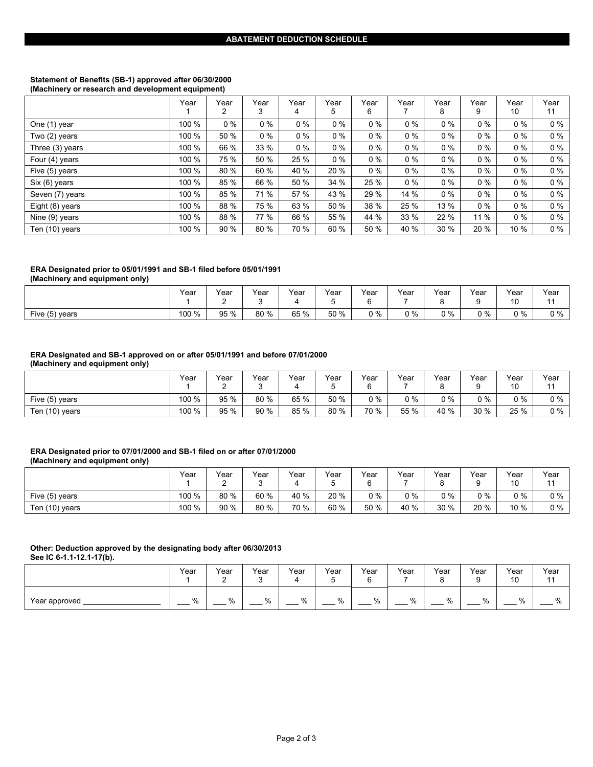#### **Statement of Benefits (SB-1) approved after 06/30/2000 (Machinery or research and development equipment)**

|                 | Year  | Year<br>2 | Year<br>3 | Year<br>4 | Year<br>5 | Year<br>6 | Year  | Year<br>8 | Year<br>9 | Year<br>10 | Year<br>11 |
|-----------------|-------|-----------|-----------|-----------|-----------|-----------|-------|-----------|-----------|------------|------------|
| One (1) year    | 100 % | $0\%$     | $0\%$     | $0\%$     | $0\%$     | $0\%$     | $0\%$ | $0\%$     | $0\%$     | $0\%$      | $0\%$      |
| Two (2) years   | 100 % | 50 %      | $0\%$     | $0\%$     | $0\%$     | $0\%$     | $0\%$ | $0\%$     | $0\%$     | $0\%$      | $0\%$      |
| Three (3) years | 100 % | 66 %      | 33 %      | $0\%$     | $0\%$     | $0\%$     | $0\%$ | $0\%$     | $0\%$     | $0\%$      | $0\%$      |
| Four (4) years  | 100 % | 75 %      | 50 %      | 25 %      | $0\%$     | $0\%$     | $0\%$ | $0\%$     | $0\%$     | $0\%$      | $0\%$      |
| Five (5) years  | 100 % | 80 %      | 60 %      | 40 %      | 20 %      | $0\%$     | $0\%$ | $0\%$     | $0\%$     | $0\%$      | $0\%$      |
| Six (6) years   | 100 % | 85 %      | 66 %      | 50 %      | 34 %      | 25 %      | $0\%$ | $0\%$     | $0\%$     | $0\%$      | $0\%$      |
| Seven (7) years | 100 % | 85 %      | 71 %      | 57 %      | 43 %      | 29 %      | 14 %  | $0\%$     | $0\%$     | $0\%$      | $0\%$      |
| Eight (8) years | 100 % | 88 %      | 75 %      | 63 %      | 50 %      | 38 %      | 25 %  | 13 %      | $0\%$     | $0\%$      | $0\%$      |
| Nine (9) years  | 100 % | 88 %      | 77 %      | 66 %      | 55 %      | 44 %      | 33 %  | 22 %      | 11 %      | $0\%$      | $0\%$      |
| Ten (10) years  | 100 % | 90 %      | 80 %      | 70 %      | 60 %      | 50 %      | 40 %  | 30 %      | 20 %      | 10 %       | $0\%$      |

## **ERA Designated prior to 05/01/1991 and SB-1 filed before 05/01/1991**

**(Machinery and equipment only)** 

|                | Year  | Year<br>-<br>- | Year | Year | Year<br>$\overline{\phantom{0}}$ | Year<br>$\overline{\phantom{0}}$ | Year<br>- | Year  | Year<br>- | Year<br>10<br>$\sim$ | Year<br>$\overline{A}$ |
|----------------|-------|----------------|------|------|----------------------------------|----------------------------------|-----------|-------|-----------|----------------------|------------------------|
| Five (5) years | 100 % | 95 %           | 80 % | 65 % | 50 %                             | $0\%$                            | 0 %       | $0\%$ | 0 %       | $0\%$                | $0\%$                  |

## **ERA Designated and SB-1 approved on or after 05/01/1991 and before 07/01/2000**

**(Machinery and equipment only)** 

|                | Year  | Year<br>- | Year | Year | Year<br>ີ | Year  | $v_{\text{ear}}$ | Year<br>o | Year<br>9  | Year<br>10 | Year<br>11 |
|----------------|-------|-----------|------|------|-----------|-------|------------------|-----------|------------|------------|------------|
| Five (5) years | 100 % | 95 %      | 80 % | 65 % | 50 %      | $0\%$ | $0\%$            | $0\%$     | <u>ባ %</u> | $0\%$      | ገ %        |
| Ten (10) years | 100 % | 95 %      | 90 % | 85 % | 80 %      | 70 %  | 55 %             | 40 %      | 30 %       | 25 %       |            |

#### **ERA Designated prior to 07/01/2000 and SB-1 filed on or after 07/01/2000 (Machinery and equipment only)**

|                | Year  | Year<br>- | $\mathsf{v}_{\mathsf{ear}}$<br>ົ | Year | $v_{\text{ear}}$ | Year<br>6 | Year       | Year<br>C | Year<br>a | Year<br>10 | Year<br>A A |
|----------------|-------|-----------|----------------------------------|------|------------------|-----------|------------|-----------|-----------|------------|-------------|
| Five (5) years | 100 % | 80 %      | 60 %                             | 40 % | 20 %             | $0\%$     | <u>ງ %</u> | 2%        | $0\%$     | $0\%$      | $0\%$       |
| Ten (10) years | 100 % | 90 %      | 80 %                             | 70 % | 60 %             | 50 %      | 40 %       | 30 %      | 20 %      | 10 %       | $0\%$       |

# **Other: Deduction approved by the designating body after 06/30/2013**

**See IC 6-1.1-12.1-17(b).** 

|               | Year | Year<br>- | Year | Year | Year<br>∽<br>J | Year<br>6 | Year | Year<br>ົ<br>∽<br>ີ | Year<br>⌒<br>ч<br>u | Year<br>10 | Year<br>$\overline{A}$ |
|---------------|------|-----------|------|------|----------------|-----------|------|---------------------|---------------------|------------|------------------------|
| Year approved | %    | $\%$      | $\%$ | %    | %              | %         | %    | %                   | $\sim$<br>ሣ^        | %          | $\mathbf{a}$<br>ν.     |